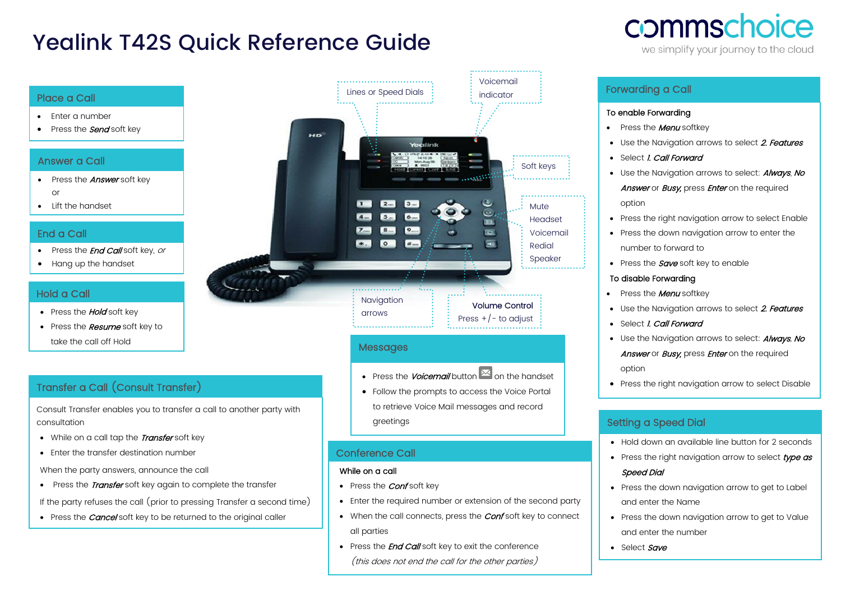# Yealink T42S Quick Reference Guide

# commschoice

we simplify your journey to the cloud

#### Place a Call

- Enter a number
- Press the **Send** soft key

#### Answer a Call

- Press the **Answer** soft key or
- Lift the handset

#### End a Call

- Press the *End Call* soft key, or
- Hang up the handset

### Hold a Call

- Press the **Hold** soft key
- Press the **Resume** soft key to take the call off Hold

# Transfer a Call (Consult Transfer)

Consult Transfer enables you to transfer a call to another party with consultation

- While on a call tap the Transfer soft key
- Enter the transfer destination number

When the party answers, announce the call

• Press the *Transfer* soft key again to complete the transfer

If the party refuses the call (prior to pressing Transfer a second time)

• Press the *Cancel* soft key to be returned to the original caller



# Messages

• Press the *Voicemail* button  $\mathbb{E}$  on the handset

• Follow the prompts to access the Voice Portal to retrieve Voice Mail messages and record greetings

## Conference Call

#### While on a call

•

- Press the *Conf* soft key
- Enter the required number or extension of the second party
- When the call connects, press the **Conf** soft key to connect all parties
- Press the **End Call** soft key to exit the conference (this does not end the call for the other parties)

# Forwarding a Call

#### To enable Forwarding

- Press the **Menu** softkey
- Use the Naviaation arrows to select 2. Features
- Select *I. Call Forward*
- Use the Navigation arrows to select: **Always**, No Answer or Busy, press Enter on the required option
- Press the right navigation arrow to select Enable
- Press the down navigation arrow to enter the number to forward to
- Press the  $Save$  soft key to enable

#### To disable Forwarding

- Press the **Menu** softkey
- Use the Navigation arrows to select 2. Features
- Select *I. Call Forward*
- Use the Navigation arrows to select: **Always**, No

Answer or Busy, press Enter on the required option

• Press the right navigation arrow to select Disable

## Setting a Speed Dial

- Hold down an available line button for 2 seconds
- Press the right navigation arrow to select type as Speed Dial
- Press the down navigation arrow to get to Label and enter the Name
- Press the down navigation arrow to get to Value and enter the number
- Select Save